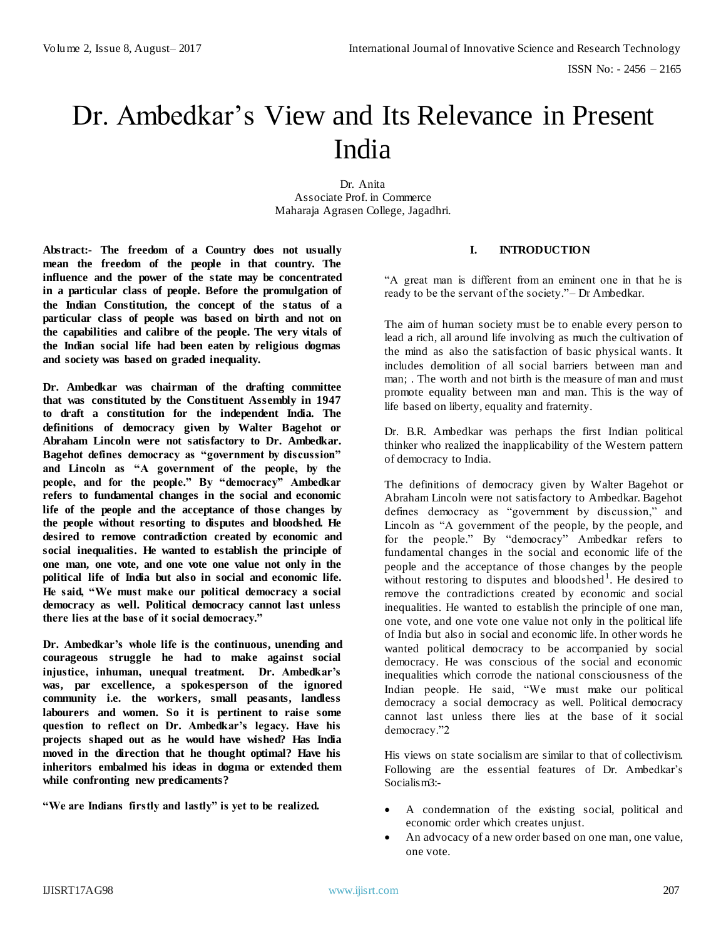# Dr. Ambedkar's View and Its Relevance in Present India

Dr. Anita Associate Prof. in Commerce Maharaja Agrasen College, Jagadhri.

**Abstract:- The freedom of a Country does not usually mean the freedom of the people in that country. The influence and the power of the state may be concentrated in a particular class of people. Before the promulgation of the Indian Constitution, the concept of the status of a particular class of people was based on birth and not on the capabilities and calibre of the people. The very vitals of the Indian social life had been eaten by religious dogmas and society was based on graded inequality.** 

**Dr. Ambedkar was chairman of the drafting committee that was constituted by the Constituent Assembly in 1947 to draft a constitution for the independent India. The definitions of democracy given by Walter Bagehot or Abraham Lincoln were not satisfactory to Dr. Ambedkar. Bagehot defines democracy as "government by discussion" and Lincoln as "A government of the people, by the people, and for the people." By "democracy" Ambedkar refers to fundamental changes in the social and economic life of the people and the acceptance of those changes by the people without resorting to disputes and bloodshed. He desired to remove contradiction created by economic and social inequalities. He wanted to establish the principle of one man, one vote, and one vote one value not only in the political life of India but also in social and economic life. He said, "We must make our political democracy a social democracy as well. Political democracy cannot last unless there lies at the base of it social democracy."**

**Dr. Ambedkar's whole life is the continuous, unending and courageous struggle he had to make against social injustice, inhuman, unequal treatment. Dr. Ambedkar's was, par excellence, a spokesperson of the ignored community i.e. the workers, small peasants, landless labourers and women. So it is pertinent to raise some question to reflect on Dr. Ambedkar's legacy. Have his projects shaped out as he would have wished? Has India moved in the direction that he thought optimal? Have his inheritors embalmed his ideas in dogma or extended them while confronting new predicaments?** 

**"We are Indians firstly and lastly" is yet to be realized.**

# **I. INTRODUCTION**

"A great man is different from an eminent one in that he is ready to be the servant of the society."– Dr Ambedkar.

The aim of human society must be to enable every person to lead a rich, all around life involving as much the cultivation of the mind as also the satisfaction of basic physical wants. It includes demolition of all social barriers between man and man; . The worth and not birth is the measure of man and must promote equality between man and man. This is the way of life based on liberty, equality and fraternity.

Dr. B.R. Ambedkar was perhaps the first Indian political thinker who realized the inapplicability of the Western pattern of democracy to India.

The definitions of democracy given by Walter Bagehot or Abraham Lincoln were not satisfactory to Ambedkar. Bagehot defines democracy as "government by discussion," and Lincoln as "A government of the people, by the people, and for the people." By "democracy" Ambedkar refers to fundamental changes in the social and economic life of the people and the acceptance of those changes by the people without restoring to disputes and bloodshed<sup>1</sup>. He desired to remove the contradictions created by economic and social inequalities. He wanted to establish the principle of one man, one vote, and one vote one value not only in the political life of India but also in social and economic life. In other words he wanted political democracy to be accompanied by social democracy. He was conscious of the social and economic inequalities which corrode the national consciousness of the Indian people. He said, "We must make our political democracy a social democracy as well. Political democracy cannot last unless there lies at the base of it social democracy."2

His views on state socialism are similar to that of collectivism. Following are the essential features of Dr. Ambedkar's Socialism3:-

- A condemnation of the existing social, political and economic order which creates unjust.
- An advocacy of a new order based on one man, one value, one vote.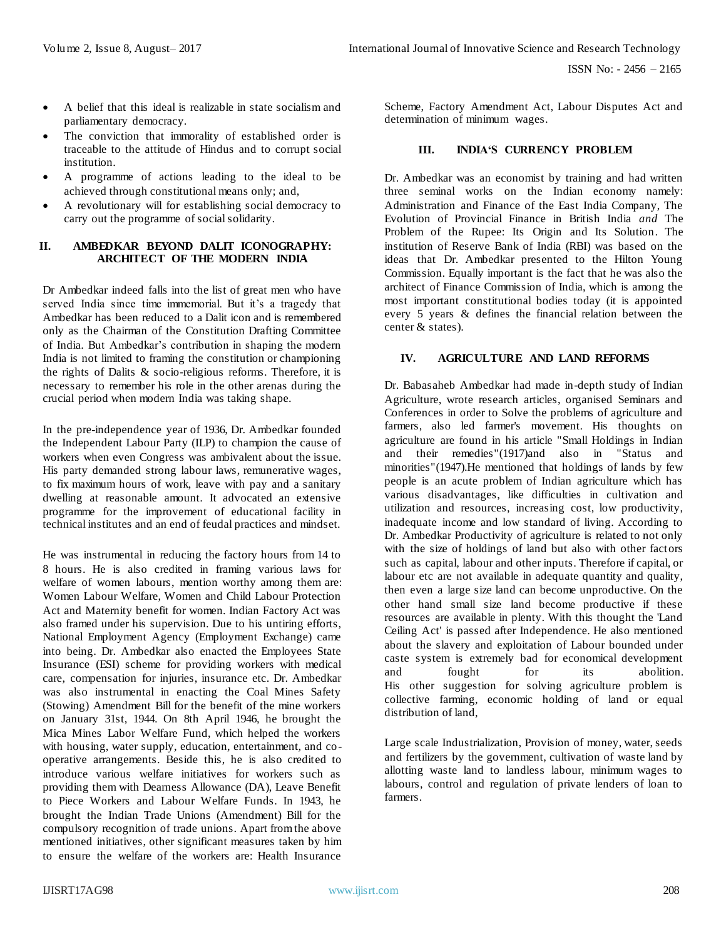- A belief that this ideal is realizable in state socialism and parliamentary democracy.
- The conviction that immorality of established order is traceable to the attitude of Hindus and to corrupt social institution.
- A programme of actions leading to the ideal to be achieved through constitutional means only; and,
- A revolutionary will for establishing social democracy to carry out the programme of social solidarity.

### **II. AMBEDKAR BEYOND DALIT ICONOGRAPHY: ARCHITECT OF THE MODERN INDIA**

Dr Ambedkar indeed falls into the list of great men who have served India since time immemorial. But it's a tragedy that Ambedkar has been reduced to a Dalit icon and is remembered only as the Chairman of the Constitution Drafting Committee of India. But Ambedkar's contribution in shaping the modern India is not limited to framing the constitution or championing the rights of Dalits & socio-religious reforms. Therefore, it is necessary to remember his role in the other arenas during the crucial period when modern India was taking shape.

In the pre-independence year of 1936, Dr. Ambedkar founded the Independent Labour Party (ILP) to champion the cause of workers when even Congress was ambivalent about the issue. His party demanded strong labour laws, remunerative wages, to fix maximum hours of work, leave with pay and a sanitary dwelling at reasonable amount. It advocated an extensive programme for the improvement of educational facility in technical institutes and an end of feudal practices and mindset.

He was instrumental in reducing the factory hours from 14 to 8 hours. He is also credited in framing various laws for welfare of women labours, mention worthy among them are: Women Labour Welfare, Women and Child Labour Protection Act and Maternity benefit for women. Indian Factory Act was also framed under his supervision. Due to his untiring efforts, National Employment Agency (Employment Exchange) came into being. Dr. Ambedkar also enacted the Employees State Insurance (ESI) scheme for providing workers with medical care, compensation for injuries, insurance etc. Dr. Ambedkar was also instrumental in enacting the Coal Mines Safety (Stowing) Amendment Bill for the benefit of the mine workers on January 31st, 1944. On 8th April 1946, he brought the Mica Mines Labor Welfare Fund, which helped the workers with housing, water supply, education, entertainment, and cooperative arrangements. Beside this, he is also credited to introduce various welfare initiatives for workers such as providing them with Dearness Allowance (DA), Leave Benefit to Piece Workers and Labour Welfare Funds. In 1943, he brought the Indian Trade Unions (Amendment) Bill for the compulsory recognition of trade unions. Apart from the above mentioned initiatives, other significant measures taken by him to ensure the welfare of the workers are: Health Insurance

Scheme, Factory Amendment Act, Labour Disputes Act and determination of minimum wages.

# **III. INDIA'S CURRENCY PROBLEM**

Dr. Ambedkar was an economist by training and had written three seminal works on the Indian economy namely: Administration and Finance of the East India Company, The Evolution of Provincial Finance in British India *and* The Problem of the Rupee: Its Origin and Its Solution. The institution of Reserve Bank of India (RBI) was based on the ideas that Dr. Ambedkar presented to the Hilton Young Commission. Equally important is the fact that he was also the architect of Finance Commission of India, which is among the most important constitutional bodies today (it is appointed every 5 years & defines the financial relation between the center & states).

### **IV. AGRICULTURE AND LAND REFORMS**

Dr. Babasaheb Ambedkar had made in-depth study of Indian Agriculture, wrote research articles, organised Seminars and Conferences in order to Solve the problems of agriculture and farmers, also led farmer's movement. His thoughts on agriculture are found in his article "Small Holdings in Indian and their remedies"(1917)and also in "Status and minorities"(1947).He mentioned that holdings of lands by few people is an acute problem of Indian agriculture which has various disadvantages, like difficulties in cultivation and utilization and resources, increasing cost, low productivity, inadequate income and low standard of living. According to Dr. Ambedkar Productivity of agriculture is related to not only with the size of holdings of land but also with other factors such as capital, labour and other inputs. Therefore if capital, or labour etc are not available in adequate quantity and quality, then even a large size land can become unproductive. On the other hand small size land become productive if these resources are available in plenty. With this thought the 'Land Ceiling Act' is passed after Independence. He also mentioned about the slavery and exploitation of Labour bounded under caste system is extremely bad for economical development and fought for its abolition. His other suggestion for solving agriculture problem is collective farming, economic holding of land or equal distribution of land,

Large scale Industrialization, Provision of money, water, seeds and fertilizers by the government, cultivation of waste land by allotting waste land to landless labour, minimum wages to labours, control and regulation of private lenders of loan to farmers.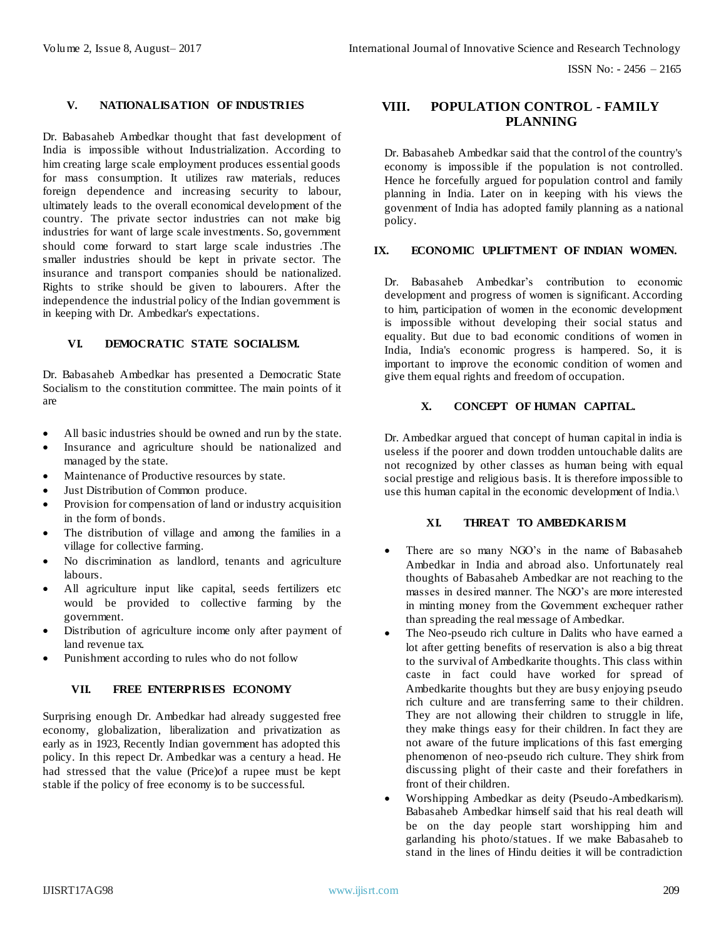# **V. NATIONALISATION OF INDUSTRIES**

Dr. Babasaheb Ambedkar thought that fast development of India is impossible without Industrialization. According to him creating large scale employment produces essential goods for mass consumption. It utilizes raw materials, reduces foreign dependence and increasing security to labour, ultimately leads to the overall economical development of the country. The private sector industries can not make big industries for want of large scale investments. So, government should come forward to start large scale industries .The smaller industries should be kept in private sector. The insurance and transport companies should be nationalized. Rights to strike should be given to labourers. After the independence the industrial policy of the Indian government is in keeping with Dr. Ambedkar's expectations.

### **VI. DEMOCRATIC STATE SOCIALISM.**

Dr. Babasaheb Ambedkar has presented a Democratic State Socialism to the constitution committee. The main points of it are

- All basic industries should be owned and run by the state.
- Insurance and agriculture should be nationalized and managed by the state.
- Maintenance of Productive resources by state.
- Just Distribution of Common produce.
- Provision for compensation of land or industry acquisition in the form of bonds.
- The distribution of village and among the families in a village for collective farming.
- No discrimination as landlord, tenants and agriculture labours.
- All agriculture input like capital, seeds fertilizers etc would be provided to collective farming by the government.
- Distribution of agriculture income only after payment of land revenue tax.
- Punishment according to rules who do not follow

# **VII. FREE ENTERPRIS ES ECONOMY**

Surprising enough Dr. Ambedkar had already suggested free economy, globalization, liberalization and privatization as early as in 1923, Recently Indian government has adopted this policy. In this repect Dr. Ambedkar was a century a head. He had stressed that the value (Price)of a rupee must be kept stable if the policy of free economy is to be successful.

# **VIII. POPULATION CONTROL - FAMILY PLANNING**

Dr. Babasaheb Ambedkar said that the control of the country's economy is impossible if the population is not controlled. Hence he forcefully argued for population control and family planning in India. Later on in keeping with his views the govenment of India has adopted family planning as a national policy.

#### **IX. ECONOMIC UPLIFTMENT OF INDIAN WOMEN.**

Dr. Babasaheb Ambedkar's contribution to economic development and progress of women is significant. According to him, participation of women in the economic development is impossible without developing their social status and equality. But due to bad economic conditions of women in India, India's economic progress is hampered. So, it is important to improve the economic condition of women and give them equal rights and freedom of occupation.

# **X. CONCEPT OF HUMAN CAPITAL.**

Dr. Ambedkar argued that concept of human capital in india is useless if the poorer and down trodden untouchable dalits are not recognized by other classes as human being with equal social prestige and religious basis. It is therefore impossible to use this human capital in the economic development of India.\

#### **XI. THREAT TO AMBEDKARIS M**

- There are so many NGO's in the name of Babasaheb Ambedkar in India and abroad also. Unfortunately real thoughts of Babasaheb Ambedkar are not reaching to the masses in desired manner. The NGO's are more interested in minting money from the Government exchequer rather than spreading the real message of Ambedkar.
- The Neo-pseudo rich culture in Dalits who have earned a lot after getting benefits of reservation is also a big threat to the survival of Ambedkarite thoughts. This class within caste in fact could have worked for spread of Ambedkarite thoughts but they are busy enjoying pseudo rich culture and are transferring same to their children. They are not allowing their children to struggle in life, they make things easy for their children. In fact they are not aware of the future implications of this fast emerging phenomenon of neo-pseudo rich culture. They shirk from discussing plight of their caste and their forefathers in front of their children.
- Worshipping Ambedkar as deity (Pseudo-Ambedkarism). Babasaheb Ambedkar himself said that his real death will be on the day people start worshipping him and garlanding his photo/statues. If we make Babasaheb to stand in the lines of Hindu deities it will be contradiction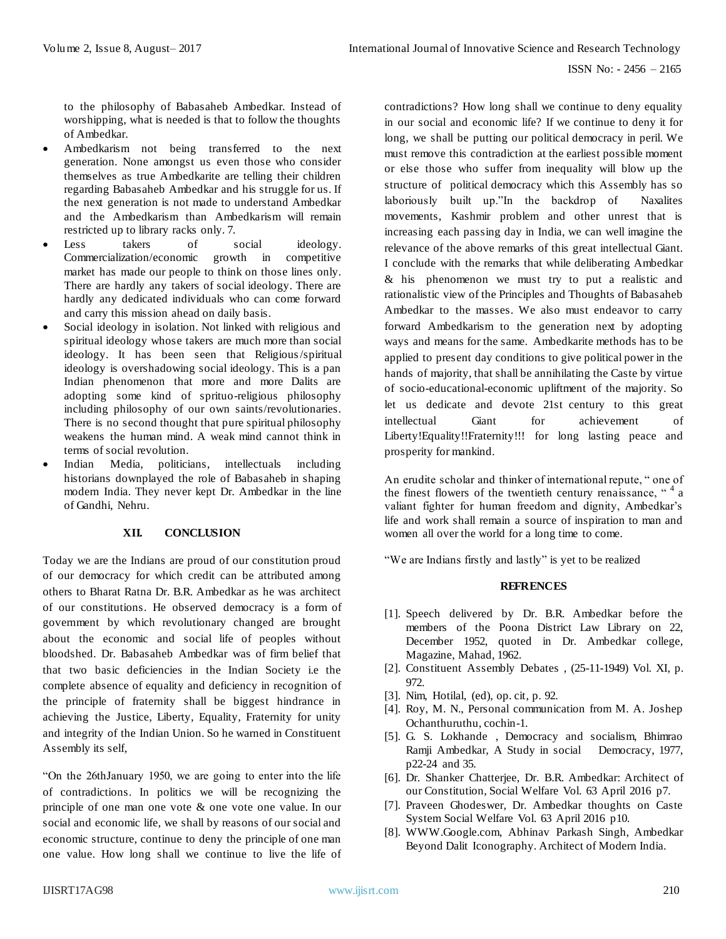to the philosophy of Babasaheb Ambedkar. Instead of worshipping, what is needed is that to follow the thoughts of Ambedkar.

- Ambedkarism not being transferred to the next generation. None amongst us even those who consider themselves as true Ambedkarite are telling their children regarding Babasaheb Ambedkar and his struggle for us. If the next generation is not made to understand Ambedkar and the Ambedkarism than Ambedkarism will remain restricted up to library racks only. 7.
- Less takers of social ideology. Commercialization/economic growth in competitive market has made our people to think on those lines only. There are hardly any takers of social ideology. There are hardly any dedicated individuals who can come forward and carry this mission ahead on daily basis.
- Social ideology in isolation. Not linked with religious and spiritual ideology whose takers are much more than social ideology. It has been seen that Religious/spiritual ideology is overshadowing social ideology. This is a pan Indian phenomenon that more and more Dalits are adopting some kind of sprituo-religious philosophy including philosophy of our own saints/revolutionaries. There is no second thought that pure spiritual philosophy weakens the human mind. A weak mind cannot think in terms of social revolution.
- Indian Media, politicians, intellectuals including historians downplayed the role of Babasaheb in shaping modern India. They never kept Dr. Ambedkar in the line of Gandhi, Nehru.

# **XII. CONCLUSION**

Today we are the Indians are proud of our constitution proud of our democracy for which credit can be attributed among others to Bharat Ratna Dr. B.R. Ambedkar as he was architect of our constitutions. He observed democracy is a form of government by which revolutionary changed are brought about the economic and social life of peoples without bloodshed. Dr. Babasaheb Ambedkar was of firm belief that that two basic deficiencies in the Indian Society i.e the complete absence of equality and deficiency in recognition of the principle of fraternity shall be biggest hindrance in achieving the Justice, Liberty, Equality, Fraternity for unity and integrity of the Indian Union. So he warned in Constituent Assembly its self,

"On the 26thJanuary 1950, we are going to enter into the life of contradictions. In politics we will be recognizing the principle of one man one vote & one vote one value. In our social and economic life, we shall by reasons of our social and economic structure, continue to deny the principle of one man one value. How long shall we continue to live the life of contradictions? How long shall we continue to deny equality in our social and economic life? If we continue to deny it for long, we shall be putting our political democracy in peril. We must remove this contradiction at the earliest possible moment or else those who suffer from inequality will blow up the structure of political democracy which this Assembly has so laboriously built up."In the backdrop of Naxalites movements, Kashmir problem and other unrest that is increasing each passing day in India, we can well imagine the relevance of the above remarks of this great intellectual Giant. I conclude with the remarks that while deliberating Ambedkar & his phenomenon we must try to put a realistic and rationalistic view of the Principles and Thoughts of Babasaheb Ambedkar to the masses. We also must endeavor to carry forward Ambedkarism to the generation next by adopting ways and means for the same. Ambedkarite methods has to be applied to present day conditions to give political power in the hands of majority, that shall be annihilating the Caste by virtue of socio-educational-economic upliftment of the majority. So let us dedicate and devote 21st century to this great intellectual Giant for achievement of Liberty!Equality!!Fraternity!!! for long lasting peace and prosperity for mankind.

An erudite scholar and thinker of international repute, " one of the finest flowers of the twentieth century renaissance,  $4a$ valiant fighter for human freedom and dignity, Ambedkar's life and work shall remain a source of inspiration to man and women all over the world for a long time to come.

"We are Indians firstly and lastly" is yet to be realized

#### **REFRENCES**

- [1]. Speech delivered by Dr. B.R. Ambedkar before the members of the Poona District Law Library on 22, December 1952, quoted in Dr. Ambedkar college, Magazine, Mahad, 1962.
- [2]. Constituent Assembly Debates , (25-11-1949) Vol. XI, p. 972.
- [3]. Nim, Hotilal, (ed), op. cit, p. 92.
- [4]. Roy, M. N., Personal communication from M. A. Joshep Ochanthuruthu, cochin-1.
- [5]. G. S. Lokhande , Democracy and socialism, Bhimrao Ramji Ambedkar, A Study in social Democracy, 1977, p22-24 and 35.
- [6]. Dr. Shanker Chatterjee, Dr. B.R. Ambedkar: Architect of our Constitution, Social Welfare Vol. 63 April 2016 p7.
- [7]. Praveen Ghodeswer, Dr. Ambedkar thoughts on Caste System Social Welfare Vol. 63 April 2016 p10.
- [8]. [WWW.Google.com,](http://www.google.com/) Abhinav Parkash Singh, Ambedkar Beyond Dalit Iconography. Architect of Modern India.